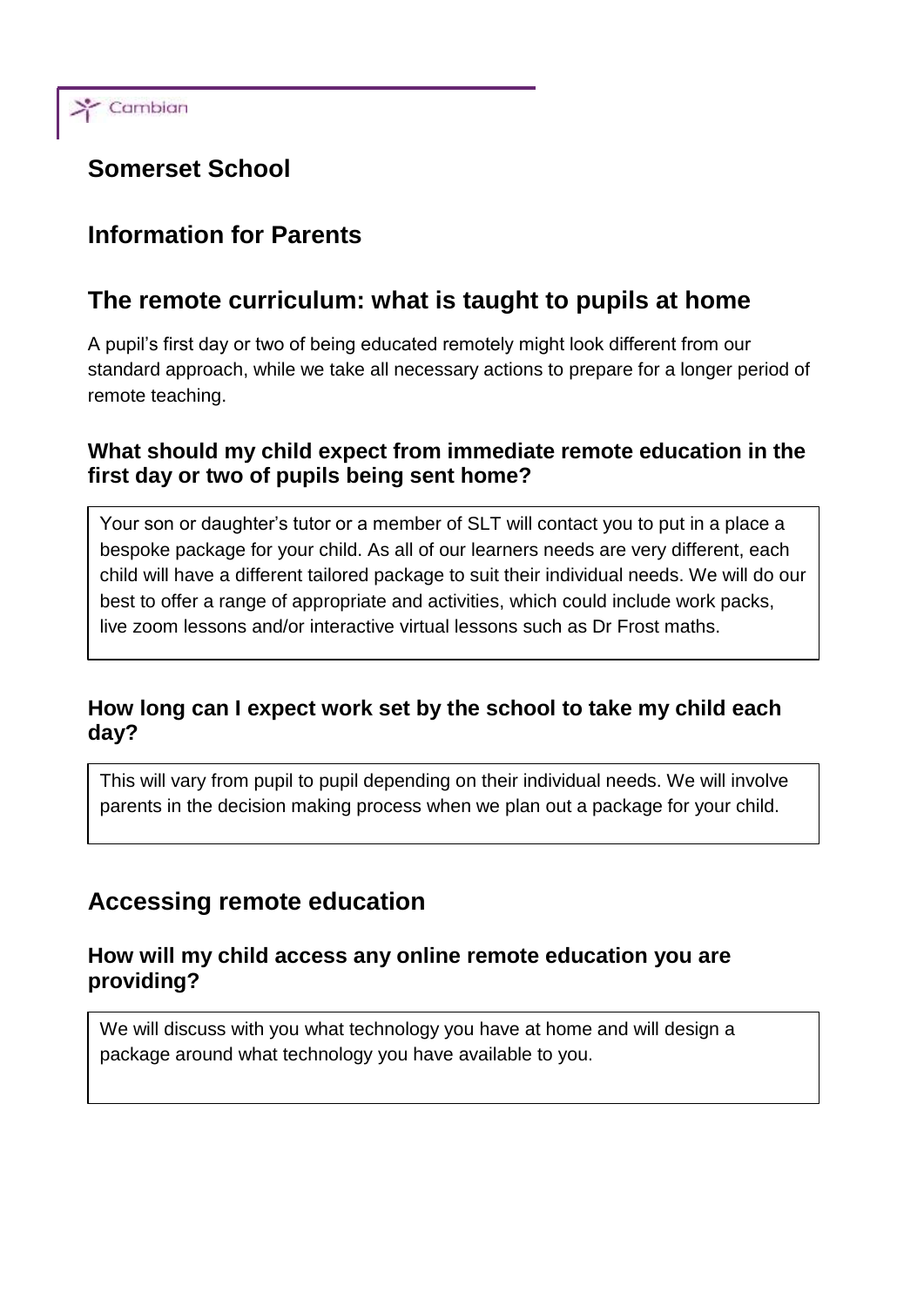

# **Somerset School**

# **Information for Parents**

# **The remote curriculum: what is taught to pupils at home**

A pupil's first day or two of being educated remotely might look different from our standard approach, while we take all necessary actions to prepare for a longer period of remote teaching.

### **What should my child expect from immediate remote education in the first day or two of pupils being sent home?**

Your son or daughter's tutor or a member of SLT will contact you to put in a place a bespoke package for your child. As all of our learners needs are very different, each child will have a different tailored package to suit their individual needs. We will do our best to offer a range of appropriate and activities, which could include work packs, live zoom lessons and/or interactive virtual lessons such as Dr Frost maths.

### **How long can I expect work set by the school to take my child each day?**

This will vary from pupil to pupil depending on their individual needs. We will involve parents in the decision making process when we plan out a package for your child.

### **Accessing remote education**

#### **How will my child access any online remote education you are providing?**

We will discuss with you what technology you have at home and will design a package around what technology you have available to you.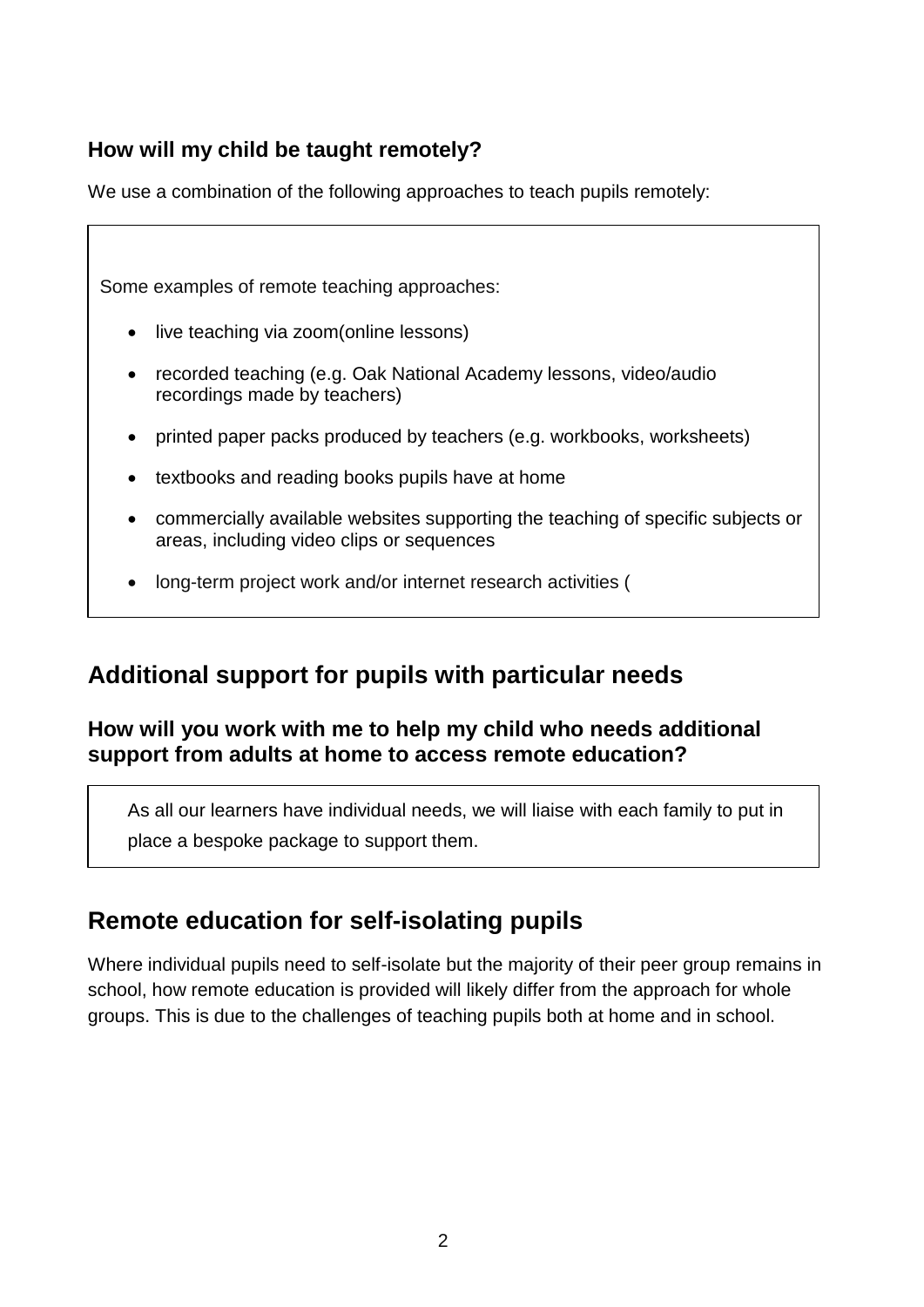### **How will my child be taught remotely?**

We use a combination of the following approaches to teach pupils remotely:

| Some examples of remote teaching approaches:                                                                                              |
|-------------------------------------------------------------------------------------------------------------------------------------------|
| live teaching via zoom(online lessons)<br>$\bullet$                                                                                       |
| recorded teaching (e.g. Oak National Academy lessons, video/audio<br>$\bullet$<br>recordings made by teachers)                            |
| printed paper packs produced by teachers (e.g. workbooks, worksheets)<br>$\bullet$                                                        |
| textbooks and reading books pupils have at home<br>٠                                                                                      |
| commercially available websites supporting the teaching of specific subjects or<br>$\bullet$<br>areas, including video clips or sequences |
| long-term project work and/or internet research activities (<br>$\bullet$                                                                 |

# **Additional support for pupils with particular needs**

### **How will you work with me to help my child who needs additional support from adults at home to access remote education?**

As all our learners have individual needs, we will liaise with each family to put in place a bespoke package to support them.

# **Remote education for self-isolating pupils**

Where individual pupils need to self-isolate but the majority of their peer group remains in school, how remote education is provided will likely differ from the approach for whole groups. This is due to the challenges of teaching pupils both at home and in school.